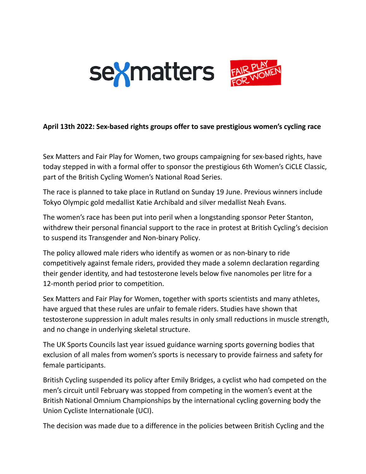

## **April 13th 2022: Sex-based rights groups offer to save prestigious women's cycling race**

Sex Matters and Fair Play for Women, two groups campaigning for sex-based rights, have today stepped in with a formal offer to sponsor the prestigious 6th Women's CiCLE Classic, part of the British Cycling Women's National Road Series.

The race is planned to take place in Rutland on Sunday 19 June. Previous winners include Tokyo Olympic gold medallist Katie Archibald and silver medallist Neah Evans.

The women's race has been put into peril when a longstanding sponsor Peter Stanton, withdrew their personal financial support to the race in protest at British Cycling's decision to suspend its [Transgender](https://www.britishcycling.org.uk/about/article/20220408-about-bc-news-British-Cycling-statement--Transgender-and--Non-Binary-Participation-Policy-0) and Non-binary Policy.

The policy allowed male riders who identify as women or as non-binary to ride competitively against female riders, provided they made a solemn declaration regarding their gender identity, and had testosterone levels below five nanomoles per litre for a 12-month period prior to competition.

Sex Matters and Fair Play for Women, together with sports scientists and many athletes, have argued that these rules are unfair to female riders. Studies have shown that testosterone suppression in adult males results in only small reductions in muscle strength, and no change in underlying skeletal structure.

The UK Sports Councils last year issued guidance warning sports governing bodies that exclusion of all males from women's sports is necessary to provide fairness and safety for female participants.

British Cycling suspended its policy after Emily Bridges, a cyclist who had competed on the men's circuit until February was stopped from competing in the women's event at the British National Omnium Championships by the international cycling governing body the Union Cycliste [Internationale](https://en.wikipedia.org/wiki/Union_Cycliste_Internationale) (UCI).

The decision was made due to a difference in the policies between British Cycling and the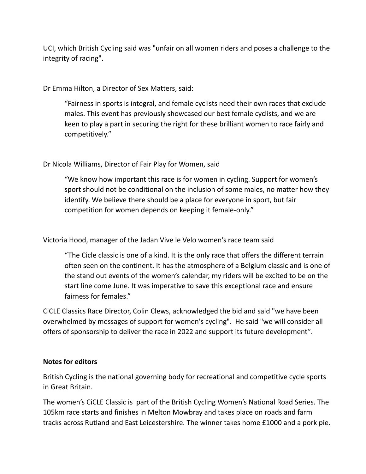UCI, which British Cycling said was "unfair on all women riders and poses a challenge to the integrity of racing".

Dr Emma Hilton, a Director of Sex Matters, said:

"Fairness in sports is integral, and female cyclists need their own races that exclude males. This event has previously showcased our best female cyclists, and we are keen to play a part in securing the right for these brilliant women to race fairly and competitively."

Dr Nicola Williams, Director of Fair Play for Women, said

"We know how important this race is for women in cycling. Support for women's sport should not be conditional on the inclusion of some males, no matter how they identify. We believe there should be a place for everyone in sport, but fair competition for women depends on keeping it female-only."

Victoria Hood, manager of the Jadan Vive le Velo women's race team said

"The Cicle classic is one of a kind. It is the only race that offers the different terrain often seen on the continent. It has the atmosphere of a Belgium classic and is one of the stand out events of the women's calendar, my riders will be excited to be on the start line come June. It was imperative to save this exceptional race and ensure fairness for females."

CiCLE Classics Race Director, Colin Clews, acknowledged the bid and said "we have been overwhelmed by messages of support for women's cycling". He said "we will consider all offers of sponsorship to deliver the race in 2022 and support its future development".

## **Notes for editors**

British Cycling is the national governing body for recreational and competitive cycle sports in Great Britain.

The women's CiCLE Classic is part of the British Cycling Women's National Road Series. The 105km race starts and finishes in Melton Mowbray and takes place on roads and farm tracks across Rutland and East Leicestershire. The winner takes home £1000 and a pork pie.